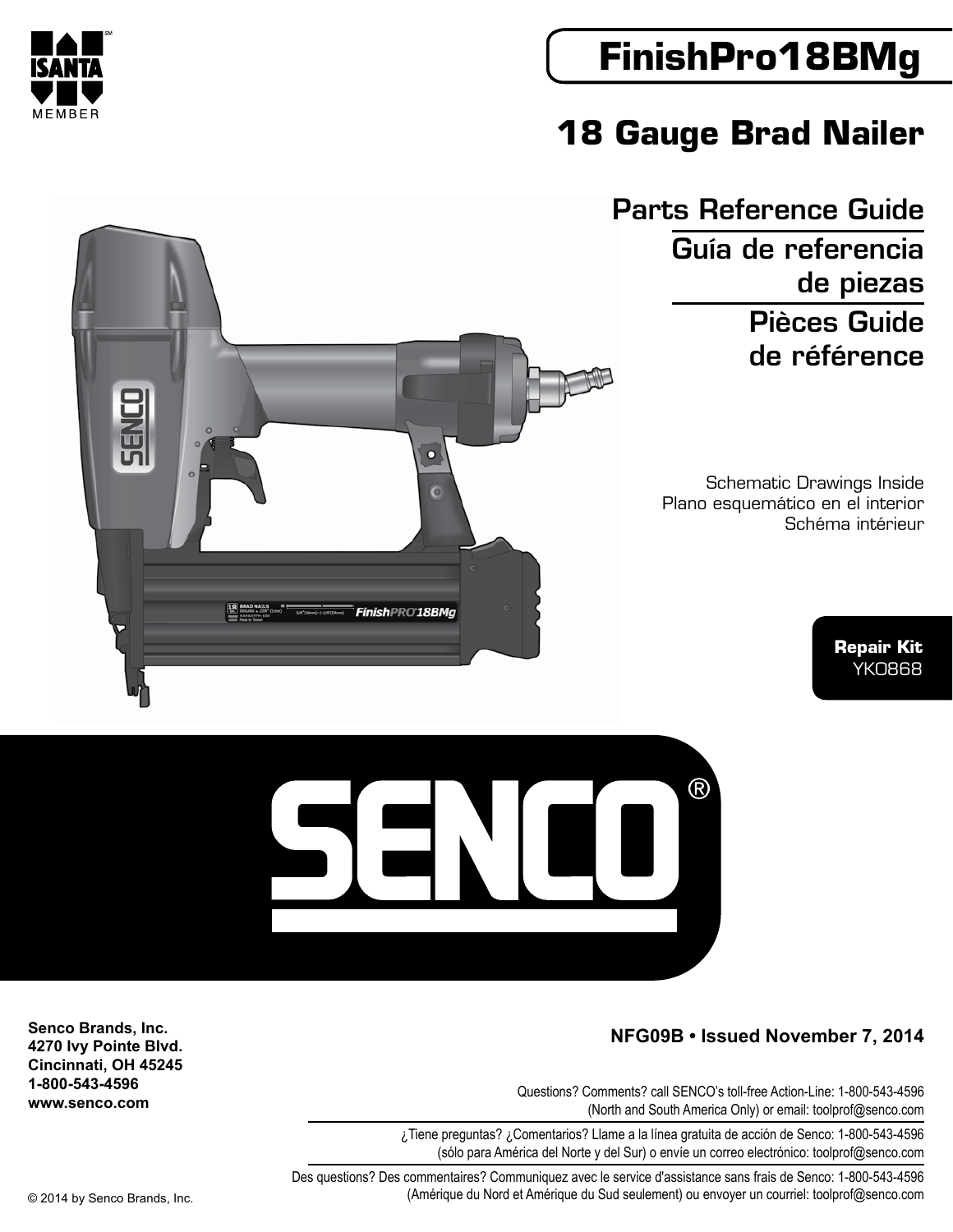# **FinishPro18BMg**

## **18 Gauge Brad Nailer**

Parts Reference Guide Guía de referencia de piezas Pièces Guide de référence

> Schematic Drawings Inside Plano esquemático en el interior Schéma intérieur

> > **Repair Kit** YK0868



Questions? Comments? call SENCO's toll-free Action-Line: 1-800-543-4596 (North and South America Only) or email: toolprof@senco.com

 $R$ 

¿Tiene preguntas? ¿Comentarios? Llame a la línea gratuita de acción de Senco: 1-800-543-4596 (sólo para América del Norte y del Sur) o envíe un correo electrónico: toolprof@senco.com

Des questions? Des commentaires? Communiquez avec le service d'assistance sans frais de Senco: 1-800-543-4596 © 2014 by Senco Brands, Inc. (Amérique du Nord et Amérique du Sud seulement) ou envoyer un courriel: toolprof@senco.com

U

**Senco Brands, Inc. 4270 Ivy Pointe Blvd. Cincinnati, OH 45245 1-800-543-4596 www.senco.com**





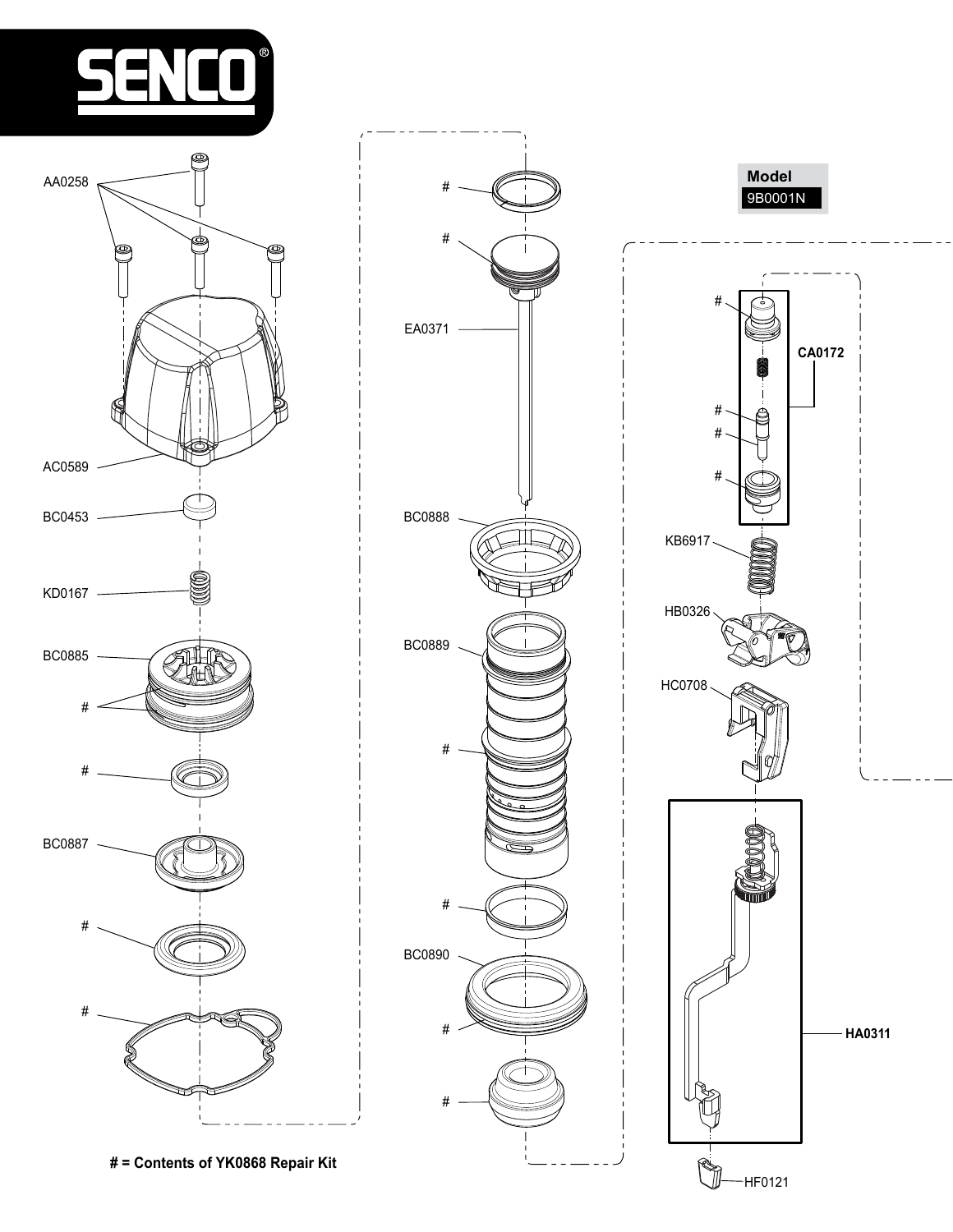



**# = Contents of YK0868 Repair Kit**



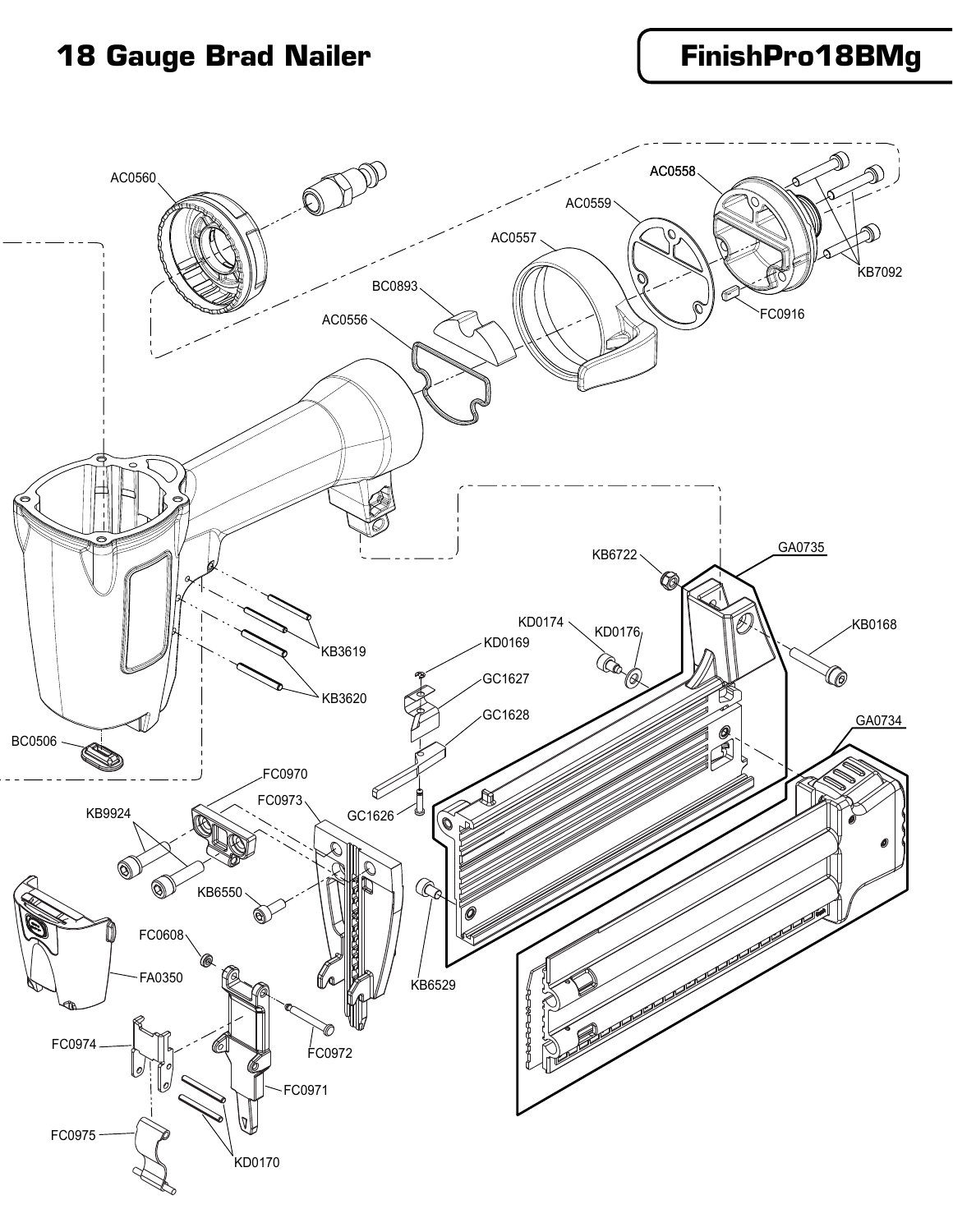### **18 Gauge Brad Nailer FinishPro18BMg**